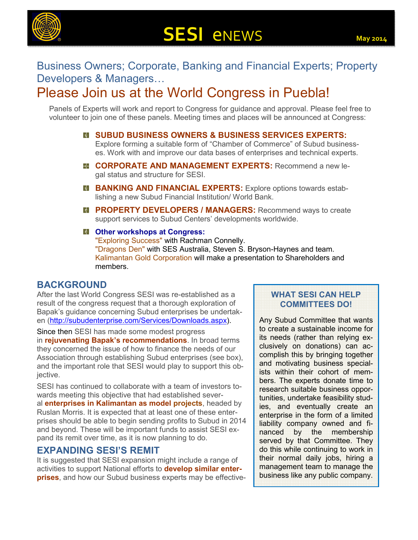

# **SESI** eNEWS **May 2014**

### Business Owners; Corporate, Banking and Financial Experts; Property Developers & Managers...

## Please Join us at the World Congress in Puebla!

Panels of Experts will work and report to Congress for guidance and approval. Please feel free to volunteer to join one of these panels. Meeting times and places will be announced at Congress:

- **SUBUD BUSINESS OWNERS & BUSINESS SERVICES EXPERTS:** Explore forming a suitable form of "Chamber of Commerce" of Subud businesses. Work with and improve our data bases of enterprises and technical experts.
- **E** CORPORATE AND MANAGEMENT EXPERTS: Recommend a new legal status and structure for SESI.
- **B BANKING AND FINANCIAL EXPERTS:** Explore options towards establishing a new Subud Financial Institution/ World Bank.
- **E PROPERTY DEVELOPERS / MANAGERS: Recommend ways to create** support services to Subud Centers' developments worldwide.
- **Other workshops at Congress:**

"Exploring Success" with Rachman Connelly. "Dragons Den" with SES Australia, Steven S. Bryson-Haynes and team. Kalimantan Gold Corporation will make a presentation to Shareholders and members.

#### **BACKGROUND**

After the last World Congress SESI was re-established as a result of the congress request that a thorough exploration of Bapak's guidance concerning Subud enterprises be undertaken (http://subudenterprise.com/Services/Downloads.aspx).

Since then SESI has made some modest progress in **rejuvenating Bapak's recommendations**. In broad terms they concerned the issue of how to finance the needs of our Association through establishing Subud enterprises (see box), and the important role that SESI would play to support this objective.

SESI has continued to collaborate with a team of investors towards meeting this objective that had established several **enterprises in Kalimantan as model projects**, headed by Ruslan Morris. It is expected that at least one of these enterprises should be able to begin sending profits to Subud in 2014 and beyond. These will be important funds to assist SESI expand its remit over time, as it is now planning to do.

#### **EXPANDING SESI'S REMIT**

It is suggested that SESI expansion might include a range of activities to support National efforts to **develop similar enterprises**, and how our Subud business experts may be effective-

#### **WHAT SESI CAN HELP COMMITTEES DO!**

Any Subud Committee that wants to create a sustainable income for its needs (rather than relying exclusively on donations) can accomplish this by bringing together and motivating business specialists within their cohort of members. The experts donate time to research suitable business opportunities, undertake feasibility studies, and eventually create an enterprise in the form of a limited liability company owned and financed by the membership served by that Committee. They do this while continuing to work in their normal daily jobs, hiring a management team to manage the business like any public company.